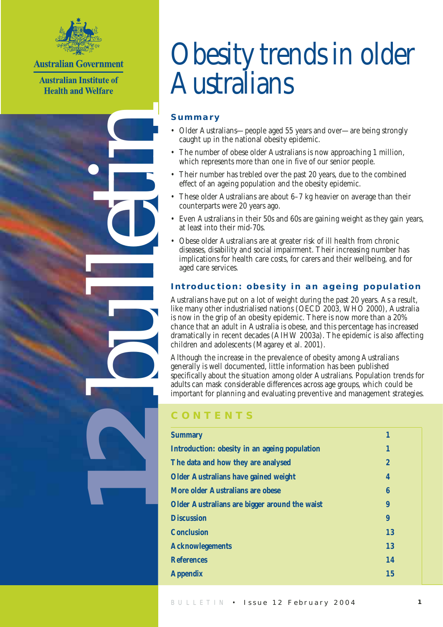

**Australian Government** 

**Australian Institute of Health and Welfare** 

bulletin

**12**

# Obesity trends in older Australians

### **Summary**

- Older Australians—people aged 55 years and over—are being strongly caught up in the national obesity epidemic.
- The number of obese older Australians is now approaching 1 million, which represents more than one in five of our senior people.
- Their number has trebled over the past 20 years, due to the combined effect of an ageing population and the obesity epidemic.
- These older Australians are about 6–7 kg heavier on average than their counterparts were 20 years ago.
- Even Australians in their 50s and 60s are gaining weight as they gain years, at least into their mid-70s.
- Obese older Australians are at greater risk of ill health from chronic diseases, disability and social impairment. Their increasing number has implications for health care costs, for carers and their wellbeing, and for aged care services.

### **Introduction: obesity in an ageing population**

Australians have put on a lot of weight during the past 20 years. As a result, like many other industrialised nations (OECD 2003, WHO 2000), Australia is now in the grip of an obesity epidemic. There is now more than a 20% chance that an adult in Australia is obese, and this percentage has increased dramatically in recent decades (AIHW 2003a). The epidemic is also affecting children and adolescents (Magarey et al. 2001).

Although the increase in the prevalence of obesity among Australians generally is well documented, little information has been published specifically about the situation among older Australians. Population trends for adults can mask considerable differences across age groups, which could be important for planning and evaluating preventive and management strategies.

### **CONTENTS**

| <b>Summary</b>                                | 1            |
|-----------------------------------------------|--------------|
| Introduction: obesity in an ageing population | 1            |
| The data and how they are analysed            | $\mathbf{2}$ |
| <b>Older Australians have gained weight</b>   | 4            |
| More older Australians are obese              | 6            |
| Older Australians are bigger around the waist | 9            |
| <b>Discussion</b>                             | 9            |
| <b>Conclusion</b>                             | 13           |
| <b>Acknowlegements</b>                        | 13           |
| <b>References</b>                             | 14           |
| <b>Appendix</b>                               | <b>15</b>    |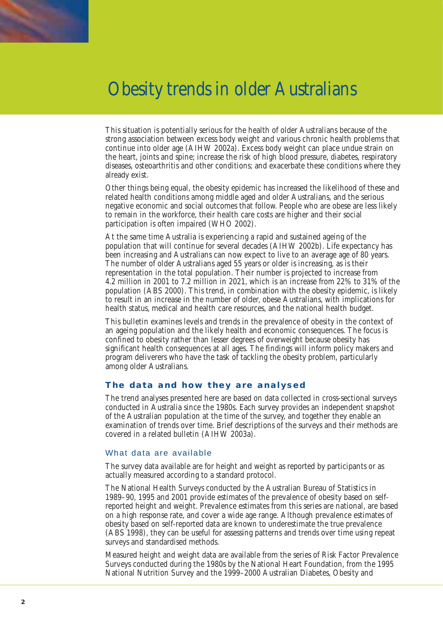This situation is potentially serious for the health of older Australians because of the strong association between excess body weight and various chronic health problems that continue into older age (AIHW 2002a). Excess body weight can place undue strain on the heart, joints and spine; increase the risk of high blood pressure, diabetes, respiratory diseases, osteoarthritis and other conditions; and exacerbate these conditions where they already exist.

Other things being equal, the obesity epidemic has increased the likelihood of these and related health conditions among middle aged and older Australians, and the serious negative economic and social outcomes that follow. People who are obese are less likely to remain in the workforce, their health care costs are higher and their social participation is often impaired (WHO 2002).

At the same time Australia is experiencing a rapid and sustained ageing of the population that will continue for several decades (AIHW 2002b). Life expectancy has been increasing and Australians can now expect to live to an average age of 80 years. The number of older Australians aged 55 years or older is increasing, as is their representation in the total population. Their number is projected to increase from 4.2 million in 2001 to 7.2 million in 2021, which is an increase from 22% to 31% of the population (ABS 2000). This trend, in combination with the obesity epidemic, is likely to result in an increase in the number of older, obese Australians, with implications for health status, medical and health care resources, and the national health budget.

This bulletin examines levels and trends in the prevalence of obesity in the context of an ageing population and the likely health and economic consequences. The focus is confined to obesity rather than lesser degrees of overweight because obesity has significant health consequences at all ages. The findings will inform policy makers and program deliverers who have the task of tackling the obesity problem, particularly among older Australians.

#### **The data and how they are analysed**

The trend analyses presented here are based on data collected in cross-sectional surveys conducted in Australia since the 1980s. Each survey provides an independent snapshot of the Australian population at the time of the survey, and together they enable an examination of trends over time. Brief descriptions of the surveys and their methods are covered in a related bulletin (AIHW 2003a).

#### What data are available

The survey data available are for height and weight as reported by participants or as actually measured according to a standard protocol.

The National Health Surveys conducted by the Australian Bureau of Statistics in 1989–90, 1995 and 2001 provide estimates of the prevalence of obesity based on selfreported height and weight. Prevalence estimates from this series are national, are based on a high response rate, and cover a wide age range. Although prevalence estimates of obesity based on self-reported data are known to underestimate the true prevalence (ABS 1998), they can be useful for assessing patterns and trends over time using repeat surveys and standardised methods.

Measured height and weight data are available from the series of Risk Factor Prevalence Surveys conducted during the 1980s by the National Heart Foundation, from the 1995 National Nutrition Survey and the 1999–2000 Australian Diabetes, Obesity and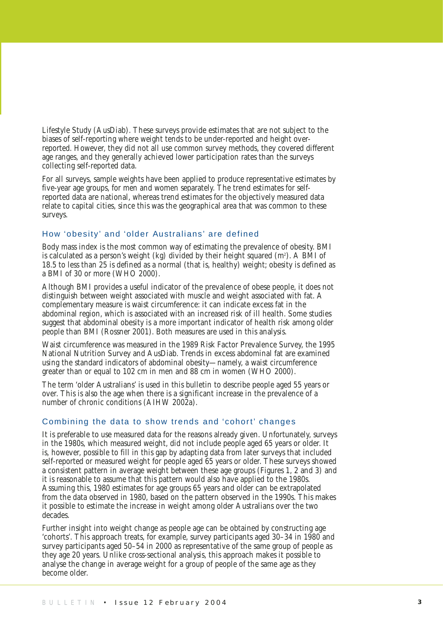Lifestyle Study (AusDiab). These surveys provide estimates that are not subject to the biases of self-reporting where weight tends to be under-reported and height overreported. However, they did not all use common survey methods, they covered different age ranges, and they generally achieved lower participation rates than the surveys collecting self-reported data.

For all surveys, sample weights have been applied to produce representative estimates by five-year age groups, for men and women separately. The trend estimates for selfreported data are national, whereas trend estimates for the objectively measured data relate to capital cities, since this was the geographical area that was common to these surveys.

#### How 'obesity' and 'older Australians' are defined

Body mass index is the most common way of estimating the prevalence of obesity. BMI is calculated as a person's weight (kg) divided by their height squared  $(m<sup>2</sup>)$ . A BMI of 18.5 to less than 25 is defined as a normal (that is, healthy) weight; obesity is defined as a BMI of 30 or more (WHO 2000).

Although BMI provides a useful indicator of the prevalence of obese people, it does not distinguish between weight associated with muscle and weight associated with fat. A complementary measure is waist circumference: it can indicate excess fat in the abdominal region, which is associated with an increased risk of ill health. Some studies suggest that abdominal obesity is a more important indicator of health risk among older people than BMI (Rossner 2001). Both measures are used in this analysis.

Waist circumference was measured in the 1989 Risk Factor Prevalence Survey, the 1995 National Nutrition Survey and AusDiab. Trends in excess abdominal fat are examined using the standard indicators of abdominal obesity—namely, a waist circumference greater than or equal to 102 cm in men and 88 cm in women (WHO 2000).

The term 'older Australians' is used in this bulletin to describe people aged 55 years or over. This is also the age when there is a significant increase in the prevalence of a number of chronic conditions (AIHW 2002a).

#### Combining the data to show trends and 'cohort' changes

It is preferable to use measured data for the reasons already given. Unfortunately, surveys in the 1980s, which measured weight, did not include people aged 65 years or older. It is, however, possible to fill in this gap by adapting data from later surveys that included self-reported or measured weight for people aged 65 years or older. These surveys showed a consistent pattern in average weight between these age groups (Figures 1, 2 and 3) and it is reasonable to assume that this pattern would also have applied to the 1980s. Assuming this, 1980 estimates for age groups 65 years and older can be extrapolated from the data observed in 1980, based on the pattern observed in the 1990s. This makes it possible to estimate the increase in weight among older Australians over the two decades.

Further insight into weight change as people age can be obtained by constructing age 'cohorts'. This approach treats, for example, survey participants aged 30–34 in 1980 and survey participants aged 50–54 in 2000 as representative of the same group of people as they age 20 years. Unlike cross-sectional analysis, this approach makes it possible to analyse the change in average weight for a group of people of the same age as they become older.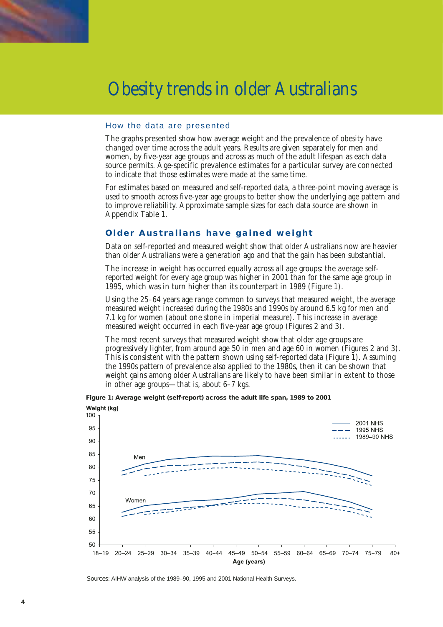

#### How the data are presented

The graphs presented show how average weight and the prevalence of obesity have changed over time across the adult years. Results are given separately for men and women, by five-year age groups and across as much of the adult lifespan as each data source permits. Age-specific prevalence estimates for a particular survey are connected to indicate that those estimates were made at the same time.

For estimates based on measured and self-reported data, a three-point moving average is used to smooth across five-year age groups to better show the underlying age pattern and to improve reliability. Approximate sample sizes for each data source are shown in Appendix Table 1.

#### **Older Australians have gained weight**

Data on self-reported and measured weight show that older Australians now are heavier than older Australians were a generation ago and that the gain has been substantial.

The increase in weight has occurred equally across all age groups: the average selfreported weight for every age group was higher in 2001 than for the same age group in 1995, which was in turn higher than its counterpart in 1989 (Figure 1).

Using the 25–64 years age range common to surveys that measured weight, the average measured weight increased during the 1980s and 1990s by around 6.5 kg for men and 7.1 kg for women (about one stone in imperial measure). This increase in average measured weight occurred in each five-year age group (Figures 2 and 3).

The most recent surveys that measured weight show that older age groups are progressively lighter, from around age 50 in men and age 60 in women (Figures 2 and 3). This is consistent with the pattern shown using self-reported data (Figure 1). Assuming the 1990s pattern of prevalence also applied to the 1980s, then it can be shown that weight gains among older Australians are likely to have been similar in extent to those in other age groups—that is, about 6–7 kgs.



**Figure 1: Average weight (self-report) across the adult life span, 1989 to 2001**

*Sources:* AIHW analysis of the 1989–90, 1995 and 2001 National Health Surveys.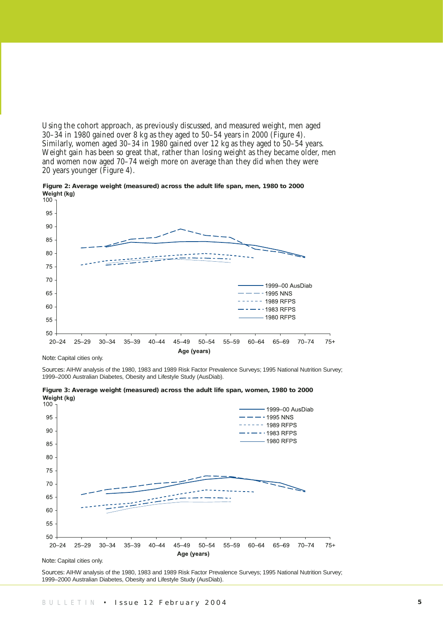Using the cohort approach, as previously discussed, and measured weight, men aged 30–34 in 1980 gained over 8 kg as they aged to 50–54 years in 2000 (Figure 4). Similarly, women aged 30–34 in 1980 gained over 12 kg as they aged to 50–54 years. Weight gain has been so great that, rather than losing weight as they became older, men and women now aged 70–74 weigh more on average than they did when they were 20 years younger (Figure 4).





*Note:* Capital cities only.

*Sources:* AIHW analysis of the 1980, 1983 and 1989 Risk Factor Prevalence Surveys; 1995 National Nutrition Survey; 1999–2000 Australian Diabetes, Obesity and Lifestyle Study (AusDiab).



**Figure 3: Average weight (measured) across the adult life span, women, 1980 to 2000** 

*Note:* Capital cities only.

*Sources:* AIHW analysis of the 1980, 1983 and 1989 Risk Factor Prevalence Surveys; 1995 National Nutrition Survey; 1999–2000 Australian Diabetes, Obesity and Lifestyle Study (AusDiab).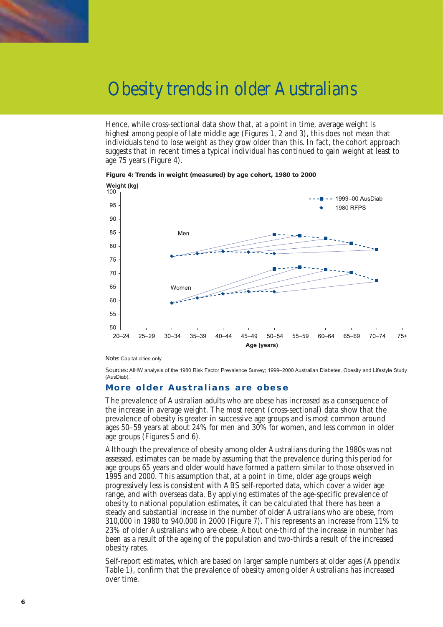

Hence, while cross-sectional data show that, at a point in time, average weight is highest among people of late middle age (Figures 1, 2 and 3), this does not mean that individuals tend to lose weight as they grow older than this. In fact, the cohort approach suggests that in recent times a typical individual has continued to gain weight at least to age 75 years (Figure 4).





*Note:* Capital cities only

*Sources:* AIHW analysis of the 1980 Risk Factor Prevalence Survey; 1999–2000 Australian Diabetes, Obesity and Lifestyle Study (AusDiab).

 $75+$ 

#### **More older Australians are obese**

The prevalence of Australian adults who are obese has increased as a consequence of the increase in average weight. The most recent (cross-sectional) data show that the prevalence of obesity is greater in successive age groups and is most common around ages 50–59 years at about 24% for men and 30% for women, and less common in older age groups (Figures 5 and 6).

Although the prevalence of obesity among older Australians during the 1980s was not assessed, estimates can be made by assuming that the prevalence during this period for age groups 65 years and older would have formed a pattern similar to those observed in 1995 and 2000. This assumption that, at a point in time, older age groups weigh progressively less is consistent with ABS self-reported data, which cover a wider age range, and with overseas data. By applying estimates of the age-specific prevalence of obesity to national population estimates, it can be calculated that there has been a steady and substantial increase in the number of older Australians who are obese, from 310,000 in 1980 to 940,000 in 2000 (Figure 7). This represents an increase from 11% to 23% of older Australians who are obese. About one-third of the increase in number has been as a result of the ageing of the population and two-thirds a result of the increased obesity rates.

Self-report estimates, which are based on larger sample numbers at older ages (Appendix Table 1), confirm that the prevalence of obesity among older Australians has increased over time.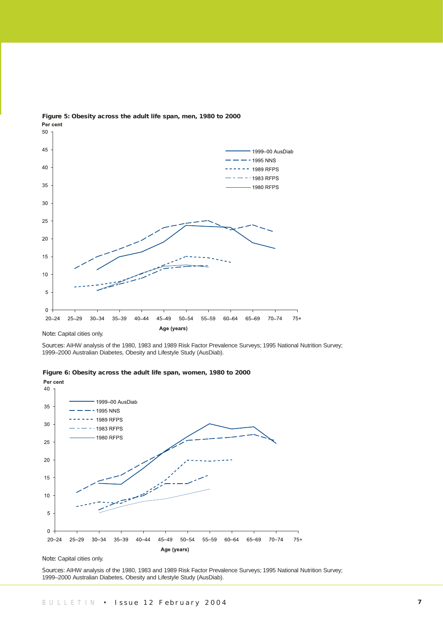

**Figure 5: Obesity across the adult life span, men, 1980 to 2000**  Per cent

*Note:* Capital cities only.

*Sources:* AIHW analysis of the 1980, 1983 and 1989 Risk Factor Prevalence Surveys; 1995 National Nutrition Survey; 1999–2000 Australian Diabetes, Obesity and Lifestyle Study (AusDiab).





*Note:* Capital cities only.

*Sources:* AIHW analysis of the 1980, 1983 and 1989 Risk Factor Prevalence Surveys; 1995 National Nutrition Survey; 1999–2000 Australian Diabetes, Obesity and Lifestyle Study (AusDiab).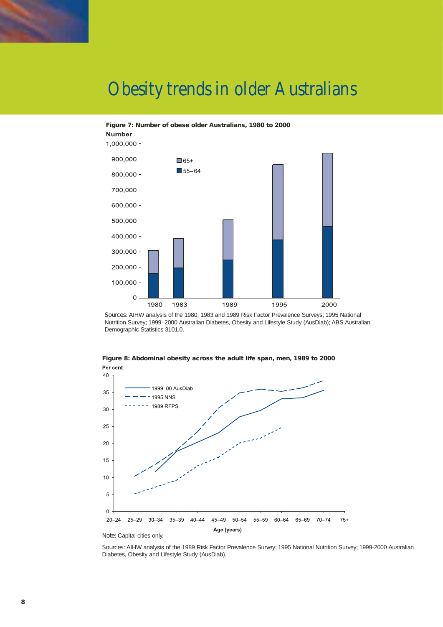

#### **Figure 7: Number of obese older Australians, 1980 to 2000**



*Sources:* AIHW analysis of the 1980, 1983 and 1989 Risk Factor Prevalence Surveys; 1995 National Nutrition Survey; 1999–2000 Australian Diabetes, Obesity and Lifestyle Study (AusDiab); ABS Australian Demographic Statistics 3101.0.



**Figure 8: Abdominal obesity across the adult life span, men, 1989 to 2000**  Per cent

*Sources:* AIHW analysis of the 1989 Risk Factor Prevalence Survey; 1995 National Nutrition Survey; 1999-2000 Australian Diabetes, Obesity and Lifestyle Study (AusDiab).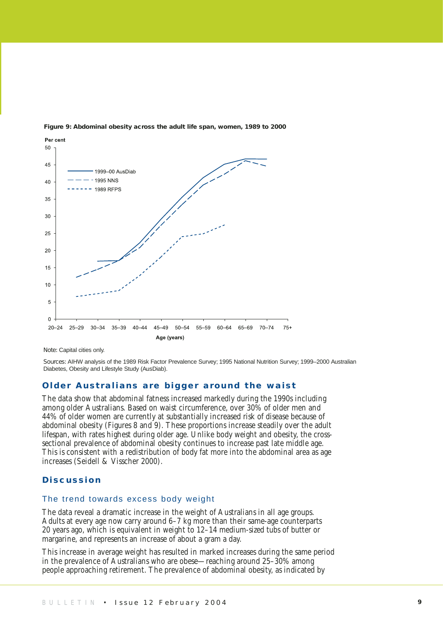

#### **Figure 9: Abdominal obesity across the adult life span, women, 1989 to 2000**

*Note:* Capital cities only.

*Sources:* AIHW analysis of the 1989 Risk Factor Prevalence Survey; 1995 National Nutrition Survey; 1999–2000 Australian Diabetes, Obesity and Lifestyle Study (AusDiab).

#### **Older Australians are bigger around the waist**

The data show that abdominal fatness increased markedly during the 1990s including among older Australians. Based on waist circumference, over 30% of older men and 44% of older women are currently at substantially increased risk of disease because of abdominal obesity (Figures 8 and 9). These proportions increase steadily over the adult lifespan, with rates highest during older age. Unlike body weight and obesity, the crosssectional prevalence of abdominal obesity continues to increase past late middle age. This is consistent with a redistribution of body fat more into the abdominal area as age increases (Seidell & Visscher 2000).

#### **Discussion**

#### The trend towards excess body weight

The data reveal a dramatic increase in the weight of Australians in all age groups. Adults at every age now carry around 6–7 kg more than their same-age counterparts 20 years ago, which is equivalent in weight to 12–14 medium-sized tubs of butter or margarine, and represents an increase of about a gram a day.

This increase in average weight has resulted in marked increases during the same period in the prevalence of Australians who are obese—reaching around 25–30% among people approaching retirement. The prevalence of abdominal obesity, as indicated by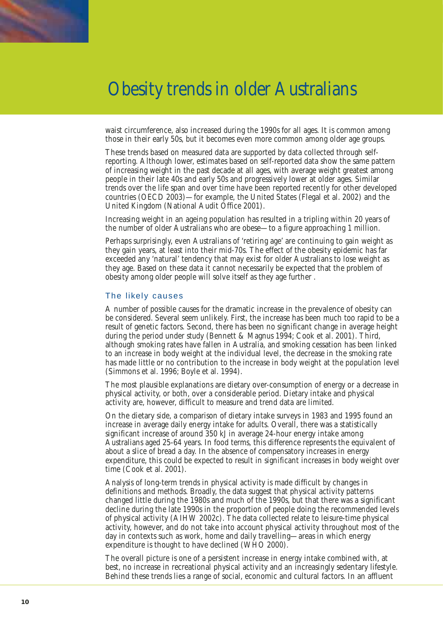

waist circumference, also increased during the 1990s for all ages. It is common among those in their early 50s, but it becomes even more common among older age groups.

These trends based on measured data are supported by data collected through selfreporting. Although lower, estimates based on self-reported data show the same pattern of increasing weight in the past decade at all ages, with average weight greatest among people in their late 40s and early 50s and progressively lower at older ages. Similar trends over the life span and over time have been reported recently for other developed countries (OECD 2003)—for example, the United States (Flegal et al. 2002) and the United Kingdom (National Audit Office 2001).

Increasing weight in an ageing population has resulted in a tripling within 20 years of the number of older Australians who are obese—to a figure approaching 1 million.

Perhaps surprisingly, even Australians of 'retiring age' are continuing to gain weight as they gain years, at least into their mid-70s. The effect of the obesity epidemic has far exceeded any 'natural' tendency that may exist for older Australians to lose weight as they age. Based on these data it cannot necessarily be expected that the problem of obesity among older people will solve itself as they age further .

#### The likely causes

A number of possible causes for the dramatic increase in the prevalence of obesity can be considered. Several seem unlikely. First, the increase has been much too rapid to be a result of genetic factors. Second, there has been no significant change in average height during the period under study (Bennett & Magnus 1994; Cook et al. 2001). Third, although smoking rates have fallen in Australia, and smoking cessation has been linked to an increase in body weight at the individual level, the decrease in the smoking rate has made little or no contribution to the increase in body weight at the population level (Simmons et al. 1996; Boyle et al. 1994).

The most plausible explanations are dietary over-consumption of energy or a decrease in physical activity, or both, over a considerable period. Dietary intake and physical activity are, however, difficult to measure and trend data are limited.

On the dietary side, a comparison of dietary intake surveys in 1983 and 1995 found an increase in average daily energy intake for adults. Overall, there was a statistically significant increase of around 350 kJ in average 24-hour energy intake among Australians aged 25-64 years. In food terms, this difference represents the equivalent of about a slice of bread a day. In the absence of compensatory increases in energy expenditure, this could be expected to result in significant increases in body weight over time (Cook et al. 2001).

Analysis of long-term trends in physical activity is made difficult by changes in definitions and methods. Broadly, the data suggest that physical activity patterns changed little during the 1980s and much of the 1990s, but that there was a significant decline during the late 1990s in the proportion of people doing the recommended levels of physical activity (AIHW 2002c). The data collected relate to leisure-time physical activity, however, and do not take into account physical activity throughout most of the day in contexts such as work, home and daily travelling—areas in which energy expenditure is thought to have declined (WHO 2000).

The overall picture is one of a persistent increase in energy intake combined with, at best, no increase in recreational physical activity and an increasingly sedentary lifestyle. Behind these trends lies a range of social, economic and cultural factors. In an affluent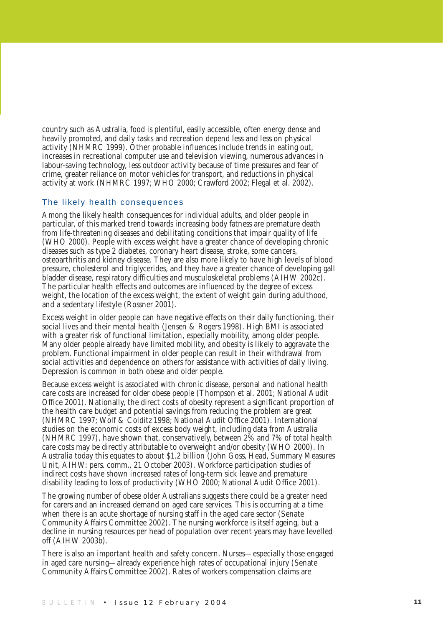country such as Australia, food is plentiful, easily accessible, often energy dense and heavily promoted, and daily tasks and recreation depend less and less on physical activity (NHMRC 1999). Other probable influences include trends in eating out, increases in recreational computer use and television viewing, numerous advances in labour-saving technology, less outdoor activity because of time pressures and fear of crime, greater reliance on motor vehicles for transport, and reductions in physical activity at work (NHMRC 1997; WHO 2000; Crawford 2002; Flegal et al. 2002).

#### The likely health consequences

Among the likely health consequences for individual adults, and older people in particular, of this marked trend towards increasing body fatness are premature death from life-threatening diseases and debilitating conditions that impair quality of life (WHO 2000). People with excess weight have a greater chance of developing chronic diseases such as type 2 diabetes, coronary heart disease, stroke, some cancers, osteoarthritis and kidney disease. They are also more likely to have high levels of blood pressure, cholesterol and triglycerides, and they have a greater chance of developing gall bladder disease, respiratory difficulties and musculoskeletal problems (AIHW 2002c). The particular health effects and outcomes are influenced by the degree of excess weight, the location of the excess weight, the extent of weight gain during adulthood, and a sedentary lifestyle (Rossner 2001).

Excess weight in older people can have negative effects on their daily functioning, their social lives and their mental health (Jensen & Rogers 1998). High BMI is associated with a greater risk of functional limitation, especially mobility, among older people. Many older people already have limited mobility, and obesity is likely to aggravate the problem. Functional impairment in older people can result in their withdrawal from social activities and dependence on others for assistance with activities of daily living. Depression is common in both obese and older people.

Because excess weight is associated with chronic disease, personal and national health care costs are increased for older obese people (Thompson et al. 2001; National Audit Office 2001). Nationally, the direct costs of obesity represent a significant proportion of the health care budget and potential savings from reducing the problem are great (NHMRC 1997; Wolf & Colditz 1998; National Audit Office 2001). International studies on the economic costs of excess body weight, including data from Australia (NHMRC 1997), have shown that, conservatively, between 2% and 7% of total health care costs may be directly attributable to overweight and/or obesity (WHO 2000). In Australia today this equates to about \$1.2 billion (John Goss, Head, Summary Measures Unit, AIHW: pers. comm., 21 October 2003). Workforce participation studies of indirect costs have shown increased rates of long-term sick leave and premature disability leading to loss of productivity (WHO 2000; National Audit Office 2001).

The growing number of obese older Australians suggests there could be a greater need for carers and an increased demand on aged care services. This is occurring at a time when there is an acute shortage of nursing staff in the aged care sector (Senate Community Affairs Committee 2002). The nursing workforce is itself ageing, but a decline in nursing resources per head of population over recent years may have levelled off (AIHW 2003b).

There is also an important health and safety concern. Nurses—especially those engaged in aged care nursing—already experience high rates of occupational injury (Senate Community Affairs Committee 2002). Rates of workers compensation claims are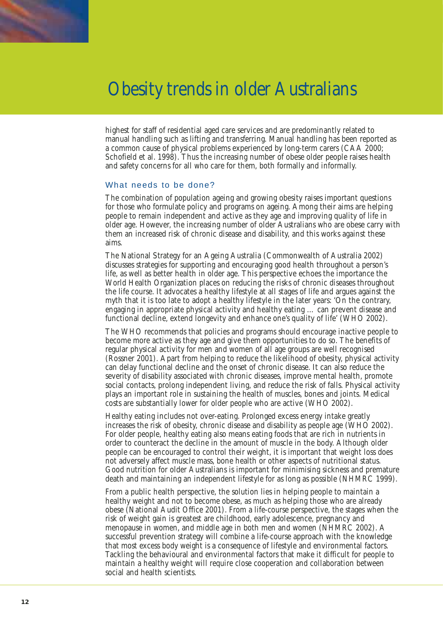

highest for staff of residential aged care services and are predominantly related to manual handling such as lifting and transferring. Manual handling has been reported as a common cause of physical problems experienced by long-term carers (CAA 2000; Schofield et al. 1998). Thus the increasing number of obese older people raises health and safety concerns for all who care for them, both formally and informally.

#### What needs to be done?

The combination of population ageing and growing obesity raises important questions for those who formulate policy and programs on ageing. Among their aims are helping people to remain independent and active as they age and improving quality of life in older age. However, the increasing number of older Australians who are obese carry with them an increased risk of chronic disease and disability, and this works against these aims.

The National Strategy for an Ageing Australia (Commonwealth of Australia 2002) discusses strategies for supporting and encouraging good health throughout a person's life, as well as better health in older age. This perspective echoes the importance the World Health Organization places on reducing the risks of chronic diseases throughout the life course. It advocates a healthy lifestyle at all stages of life and argues against the myth that it is too late to adopt a healthy lifestyle in the later years: 'On the contrary, engaging in appropriate physical activity and healthy eating … can prevent disease and functional decline, extend longevity and enhance one's quality of life' (WHO 2002).

The WHO recommends that policies and programs should encourage inactive people to become more active as they age and give them opportunities to do so. The benefits of regular physical activity for men and women of all age groups are well recognised (Rossner 2001). Apart from helping to reduce the likelihood of obesity, physical activity can delay functional decline and the onset of chronic disease. It can also reduce the severity of disability associated with chronic diseases, improve mental health, promote social contacts, prolong independent living, and reduce the risk of falls. Physical activity plays an important role in sustaining the health of muscles, bones and joints. Medical costs are substantially lower for older people who are active (WHO 2002).

Healthy eating includes not over-eating. Prolonged excess energy intake greatly increases the risk of obesity, chronic disease and disability as people age (WHO 2002). For older people, healthy eating also means eating foods that are rich in nutrients in order to counteract the decline in the amount of muscle in the body. Although older people can be encouraged to control their weight, it is important that weight loss does not adversely affect muscle mass, bone health or other aspects of nutritional status. Good nutrition for older Australians is important for minimising sickness and premature death and maintaining an independent lifestyle for as long as possible (NHMRC 1999).

From a public health perspective, the solution lies in helping people to maintain a healthy weight and not to become obese, as much as helping those who are already obese (National Audit Office 2001). From a life-course perspective, the stages when the risk of weight gain is greatest are childhood, early adolescence, pregnancy and menopause in women, and middle age in both men and women (NHMRC 2002). A successful prevention strategy will combine a life-course approach with the knowledge that most excess body weight is a consequence of lifestyle and environmental factors. Tackling the behavioural and environmental factors that make it difficult for people to maintain a healthy weight will require close cooperation and collaboration between social and health scientists.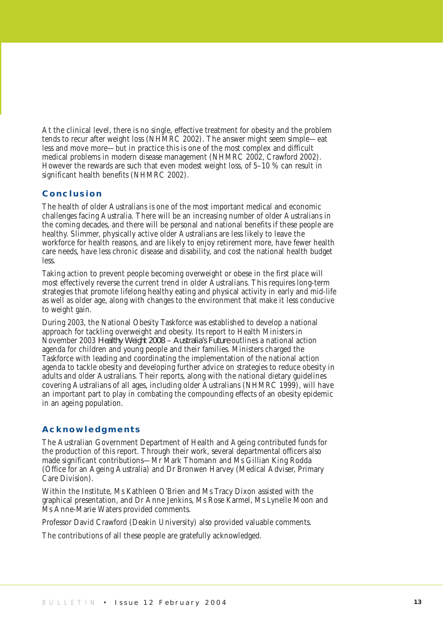At the clinical level, there is no single, effective treatment for obesity and the problem tends to recur after weight loss (NHMRC 2002). The answer might seem simple—eat less and move more—but in practice this is one of the most complex and difficult medical problems in modern disease management (NHMRC 2002, Crawford 2002). However the rewards are such that even modest weight loss, of 5–10 % can result in significant health benefits (NHMRC 2002).

#### **Conclusion**

The health of older Australians is one of the most important medical and economic challenges facing Australia. There will be an increasing number of older Australians in the coming decades, and there will be personal and national benefits if these people are healthy. Slimmer, physically active older Australians are less likely to leave the workforce for health reasons, and are likely to enjoy retirement more, have fewer health care needs, have less chronic disease and disability, and cost the national health budget less.

Taking action to prevent people becoming overweight or obese in the first place will most effectively reverse the current trend in older Australians. This requires long-term strategies that promote lifelong healthy eating and physical activity in early and mid-life as well as older age, along with changes to the environment that make it less conducive to weight gain.

During 2003, the National Obesity Taskforce was established to develop a national approach for tackling overweight and obesity. Its report to Health Ministers in November 2003 *Healthy Weight 2008 – Australia's Future* outlines a national action agenda for children and young people and their families. Ministers charged the Taskforce with leading and coordinating the implementation of the national action agenda to tackle obesity and developing further advice on strategies to reduce obesity in adults and older Australians. Their reports, along with the national dietary guidelines covering Australians of all ages, including older Australians (NHMRC 1999), will have an important part to play in combating the compounding effects of an obesity epidemic in an ageing population.

#### **Acknowledgments**

The Australian Government Department of Health and Ageing contributed funds for the production of this report. Through their work, several departmental officers also made significant contributions—Mr Mark Thomann and Ms Gillian King Rodda (Office for an Ageing Australia) and Dr Bronwen Harvey (Medical Adviser, Primary Care Division).

Within the Institute, Ms Kathleen O'Brien and Ms Tracy Dixon assisted with the graphical presentation, and Dr Anne Jenkins, Ms Rose Karmel, Ms Lynelle Moon and Ms Anne-Marie Waters provided comments.

Professor David Crawford (Deakin University) also provided valuable comments.

The contributions of all these people are gratefully acknowledged.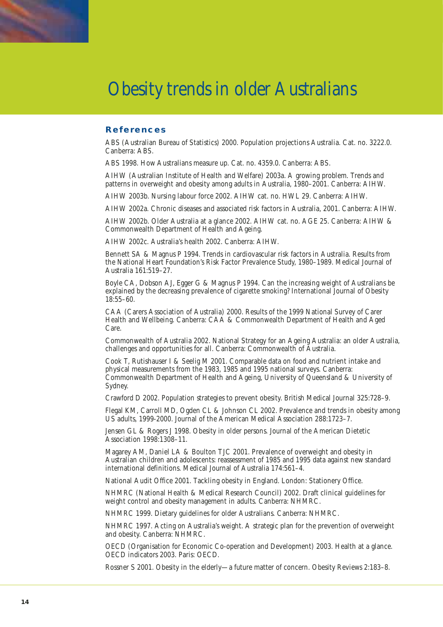

#### **References**

ABS (Australian Bureau of Statistics) 2000. Population projections Australia. Cat. no. 3222.0. Canberra: ABS.

ABS 1998. How Australians measure up. Cat. no. 4359.0. Canberra: ABS.

AIHW (Australian Institute of Health and Welfare) 2003a. A growing problem. Trends and patterns in overweight and obesity among adults in Australia, 1980–2001. Canberra: AIHW.

AIHW 2003b. Nursing labour force 2002. AIHW cat. no. HWL 29. Canberra: AIHW.

AIHW 2002a. Chronic diseases and associated risk factors in Australia, 2001. Canberra: AIHW.

AIHW 2002b. Older Australia at a glance 2002. AIHW cat. no. AGE 25. Canberra: AIHW & Commonwealth Department of Health and Ageing.

AIHW 2002c. Australia's health 2002. Canberra: AIHW.

Bennett SA & Magnus P 1994. Trends in cardiovascular risk factors in Australia. Results from the National Heart Foundation's Risk Factor Prevalence Study, 1980–1989. Medical Journal of Australia 161:519–27.

Boyle CA, Dobson AJ, Egger G & Magnus P 1994. Can the increasing weight of Australians be explained by the decreasing prevalence of cigarette smoking? International Journal of Obesity 18:55–60.

CAA (Carers Association of Australia) 2000. Results of the 1999 National Survey of Carer Health and Wellbeing. Canberra: CAA & Commonwealth Department of Health and Aged Care.

Commonwealth of Australia 2002. National Strategy for an Ageing Australia: an older Australia, challenges and opportunities for all. Canberra: Commonwealth of Australia.

Cook T, Rutishauser I & Seelig M 2001. Comparable data on food and nutrient intake and physical measurements from the 1983, 1985 and 1995 national surveys. Canberra: Commonwealth Department of Health and Ageing, University of Queensland & University of Sydney.

Crawford D 2002. Population strategies to prevent obesity. British Medical Journal 325:728–9.

Flegal KM, Carroll MD, Ogden CL & Johnson CL 2002. Prevalence and trends in obesity among US adults, 1999-2000. Journal of the American Medical Association 288:1723–7.

Jensen GL & Rogers J 1998. Obesity in older persons. Journal of the American Dietetic Association 1998:1308–11.

Magarey AM, Daniel LA & Boulton TJC 2001. Prevalence of overweight and obesity in Australian children and adolescents: reassessment of 1985 and 1995 data against new standard international definitions. Medical Journal of Australia 174:561–4.

National Audit Office 2001. Tackling obesity in England. London: Stationery Office.

NHMRC (National Health & Medical Research Council) 2002. Draft clinical guidelines for weight control and obesity management in adults. Canberra: NHMRC.

NHMRC 1999. Dietary guidelines for older Australians. Canberra: NHMRC.

NHMRC 1997. Acting on Australia's weight. A strategic plan for the prevention of overweight and obesity. Canberra: NHMRC.

OECD (Organisation for Economic Co-operation and Development) 2003. Health at a glance. OECD indicators 2003. Paris: OECD.

Rossner S 2001. Obesity in the elderly—a future matter of concern. Obesity Reviews 2:183–8.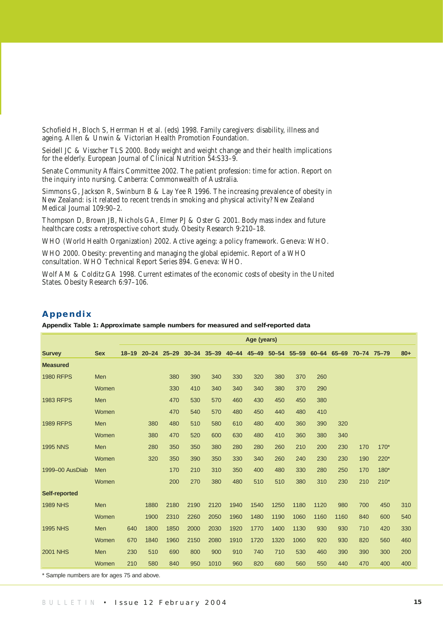Schofield H, Bloch S, Herrman H et al. (eds) 1998. Family caregivers: disability, illness and ageing. Allen & Unwin & Victorian Health Promotion Foundation.

Seidell JC & Visscher TLS 2000. Body weight and weight change and their health implications for the elderly. European Journal of Clinical Nutrition 54:S33-9.

Senate Community Affairs Committee 2002. The patient profession: time for action. Report on the inquiry into nursing. Canberra: Commonwealth of Australia.

Simmons G, Jackson R, Swinburn B & Lay Yee R 1996. The increasing prevalence of obesity in New Zealand: is it related to recent trends in smoking and physical activity? New Zealand Medical Journal 109:90–2.

Thompson D, Brown JB, Nichols GA, Elmer PJ & Oster G 2001. Body mass index and future healthcare costs: a retrospective cohort study. Obesity Research 9:210-18.

WHO (World Health Organization) 2002. Active ageing: a policy framework. Geneva: WHO.

WHO 2000. Obesity: preventing and managing the global epidemic. Report of a WHO consultation. WHO Technical Report Series 894. Geneva: WHO.

Wolf AM & Colditz GA 1998. Current estimates of the economic costs of obesity in the United States. Obesity Research 6:97–106.

#### **Appendix**

**Appendix Table 1: Approximate sample numbers for measured and self-reported data**

|                      |            | Age (years) |      |                                           |      |      |      |      |      |      |      |                                     |     |        |       |
|----------------------|------------|-------------|------|-------------------------------------------|------|------|------|------|------|------|------|-------------------------------------|-----|--------|-------|
| <b>Survey</b>        | <b>Sex</b> |             |      | 18-19 20-24 25-29 30-34 35-39 40-44 45-49 |      |      |      |      |      |      |      | 50-54 55-59 60-64 65-69 70-74 75-79 |     |        | $80+$ |
| <b>Measured</b>      |            |             |      |                                           |      |      |      |      |      |      |      |                                     |     |        |       |
| <b>1980 RFPS</b>     | Men        |             |      | 380                                       | 390  | 340  | 330  | 320  | 380  | 370  | 260  |                                     |     |        |       |
|                      | Women      |             |      | 330                                       | 410  | 340  | 340  | 340  | 380  | 370  | 290  |                                     |     |        |       |
| <b>1983 RFPS</b>     | Men        |             |      | 470                                       | 530  | 570  | 460  | 430  | 450  | 450  | 380  |                                     |     |        |       |
|                      | Women      |             |      | 470                                       | 540  | 570  | 480  | 450  | 440  | 480  | 410  |                                     |     |        |       |
| <b>1989 RFPS</b>     | Men        |             | 380  | 480                                       | 510  | 580  | 610  | 480  | 400  | 360  | 390  | 320                                 |     |        |       |
|                      | Women      |             | 380  | 470                                       | 520  | 600  | 630  | 480  | 410  | 360  | 380  | 340                                 |     |        |       |
| <b>1995 NNS</b>      | Men        |             | 280  | 350                                       | 350  | 380  | 280  | 280  | 260  | 210  | 200  | 230                                 | 170 | $170*$ |       |
|                      | Women      |             | 320  | 350                                       | 390  | 350  | 330  | 340  | 260  | 240  | 230  | 230                                 | 190 | 220*   |       |
| 1999-00 AusDiab      | Men        |             |      | 170                                       | 210  | 310  | 350  | 400  | 480  | 330  | 280  | 250                                 | 170 | $180*$ |       |
|                      | Women      |             |      | 200                                       | 270  | 380  | 480  | 510  | 510  | 380  | 310  | 230                                 | 210 | $210*$ |       |
| <b>Self-reported</b> |            |             |      |                                           |      |      |      |      |      |      |      |                                     |     |        |       |
| <b>1989 NHS</b>      | Men        |             | 1880 | 2180                                      | 2190 | 2120 | 1940 | 1540 | 1250 | 1180 | 1120 | 980                                 | 700 | 450    | 310   |
|                      | Women      |             | 1900 | 2310                                      | 2260 | 2050 | 1960 | 1480 | 1190 | 1060 | 1160 | 1160                                | 840 | 600    | 540   |
| <b>1995 NHS</b>      | Men        | 640         | 1800 | 1850                                      | 2000 | 2030 | 1920 | 1770 | 1400 | 1130 | 930  | 930                                 | 710 | 420    | 330   |
|                      | Women      | 670         | 1840 | 1960                                      | 2150 | 2080 | 1910 | 1720 | 1320 | 1060 | 920  | 930                                 | 820 | 560    | 460   |
| <b>2001 NHS</b>      | Men        | 230         | 510  | 690                                       | 800  | 900  | 910  | 740  | 710  | 530  | 460  | 390                                 | 390 | 300    | 200   |
|                      | Women      | 210         | 580  | 840                                       | 950  | 1010 | 960  | 820  | 680  | 560  | 550  | 440                                 | 470 | 400    | 400   |

\* Sample numbers are for ages 75 and above.